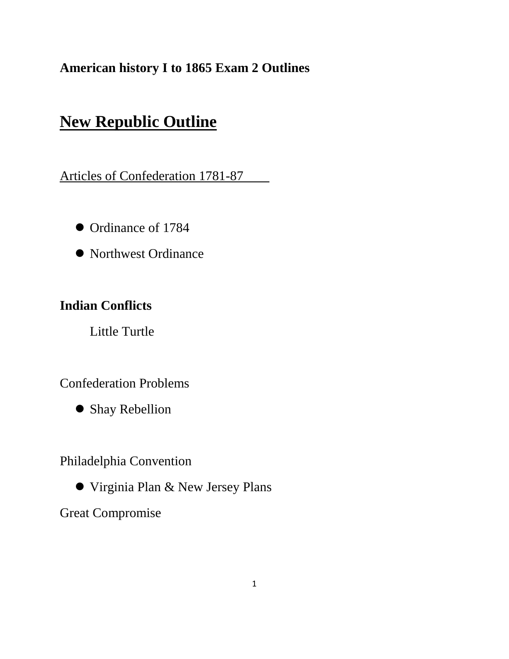# **American history I to 1865 Exam 2 Outlines**

# **New Republic Outline**

Articles of Confederation 1781-87

- Ordinance of 1784
- Northwest Ordinance

# **Indian Conflicts**

Little Turtle

Confederation Problems

Shay Rebellion

Philadelphia Convention

Virginia Plan & New Jersey Plans

Great Compromise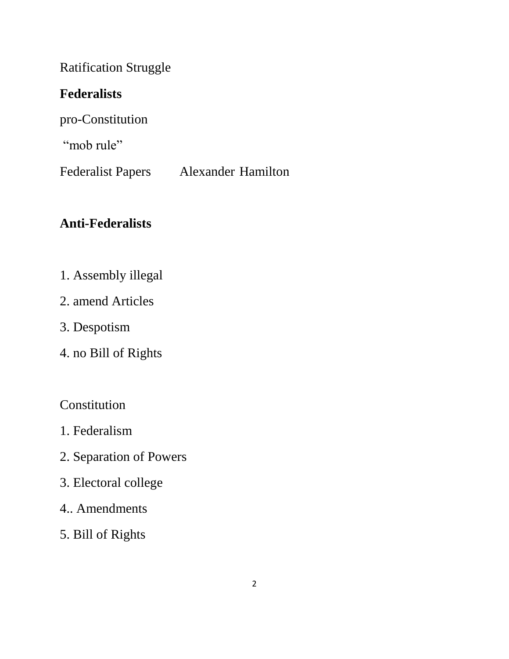Ratification Struggle

#### **Federalists**

pro-Constitution

"mob rule"

Federalist Papers Alexander Hamilton

# **Anti-Federalists**

- 1. Assembly illegal
- 2. amend Articles
- 3. Despotism
- 4. no Bill of Rights

Constitution

- 1. Federalism
- 2. Separation of Powers
- 3. Electoral college
- 4.. Amendments
- 5. Bill of Rights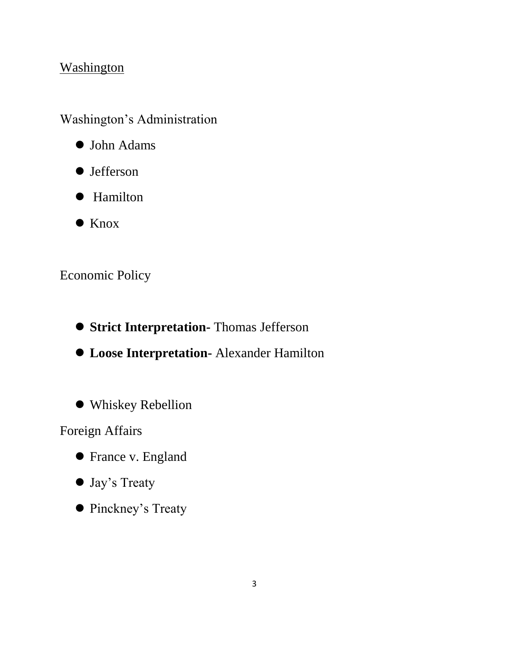#### **Washington**

Washington's Administration

- John Adams
- Jefferson
- Hamilton
- Knox

# Economic Policy

- $\bullet$  **Strict Interpretation-** Thomas Jefferson
- **Loose Interpretation-** Alexander Hamilton
- Whiskey Rebellion

Foreign Affairs

- **•** France v. England
- Jay's Treaty
- Pinckney's Treaty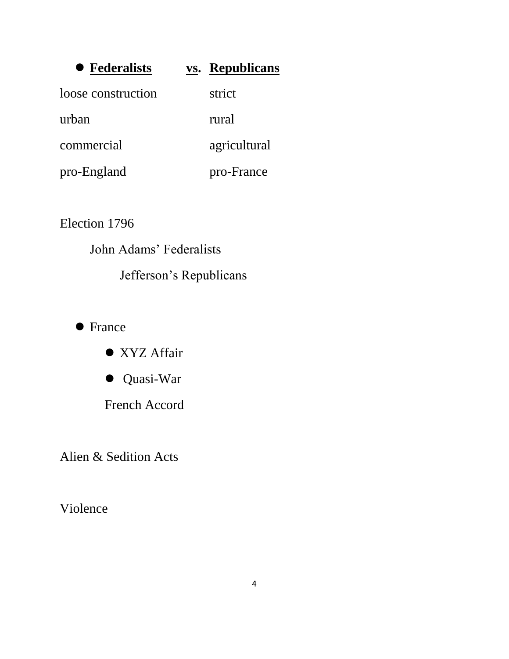| • Federalists      | <b>vs.</b> Republicans |
|--------------------|------------------------|
| loose construction | strict                 |
| urban              | rural                  |
| commercial         | agricultural           |
| pro-England        | pro-France             |

Election 1796

John Adams' Federalists Jefferson's Republicans

• France

● XYZ Affair

Quasi-War

French Accord

Alien & Sedition Acts

Violence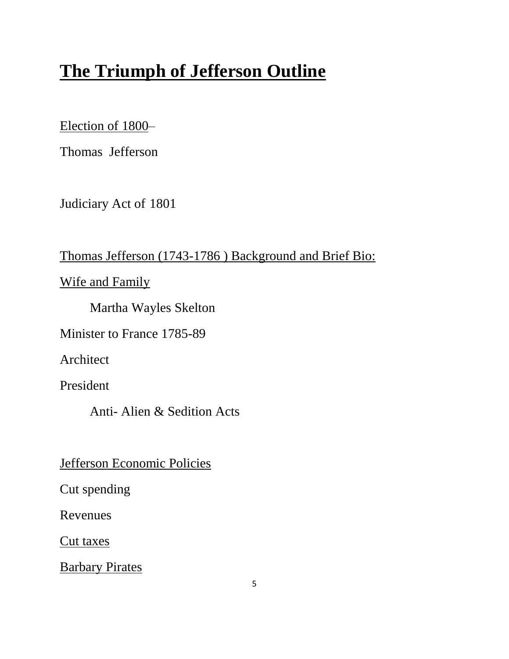# **The Triumph of Jefferson Outline**

Election of 1800–

Thomas Jefferson

Judiciary Act of 1801

Thomas Jefferson (1743-1786 ) Background and Brief Bio:

Wife and Family

Martha Wayles Skelton

Minister to France 1785-89

Architect

President

Anti- Alien & Sedition Acts

Jefferson Economic Policies

Cut spending

Revenues

Cut taxes

**Barbary Pirates**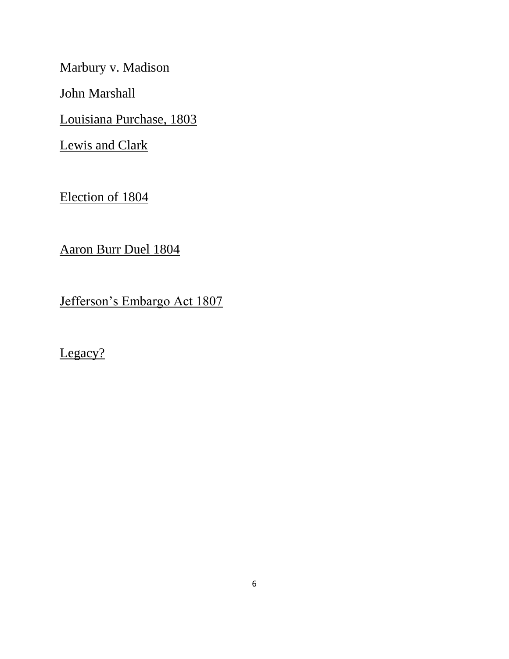Marbury v. Madison

John Marshall

Louisiana Purchase, 1803

Lewis and Clark

Election of 1804

Aaron Burr Duel 1804

Jefferson's Embargo Act 1807

Legacy?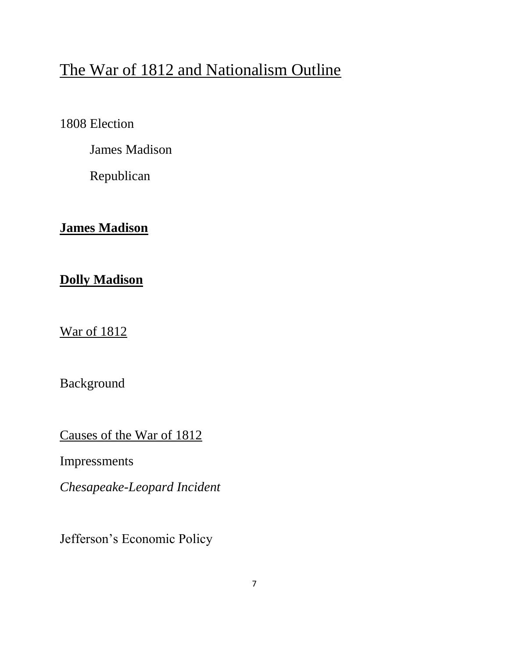# The War of 1812 and Nationalism Outline

1808 Election

James Madison

Republican

# **James Madison**

# **Dolly Madison**

War of 1812

Background

Causes of the War of 1812

Impressments

*Chesapeake-Leopard Incident*

Jefferson's Economic Policy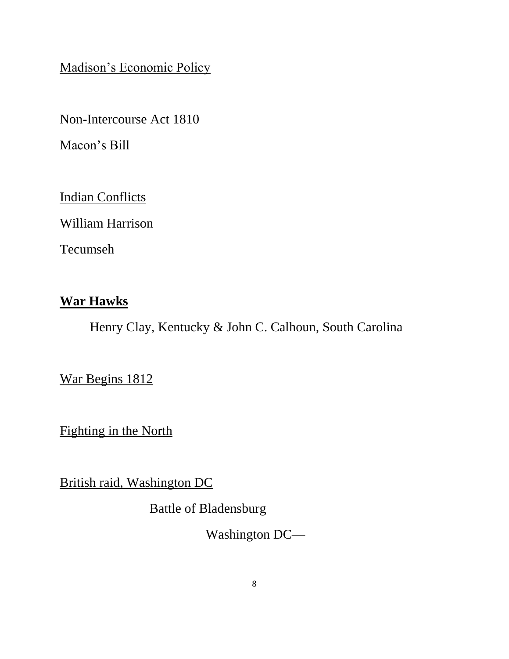Madison's Economic Policy

Non-Intercourse Act 1810

Macon's Bill

Indian Conflicts

William Harrison

Tecumseh

#### **War Hawks**

Henry Clay, Kentucky & John C. Calhoun, South Carolina

War Begins 1812

Fighting in the North

British raid, Washington DC

Battle of Bladensburg

Washington DC—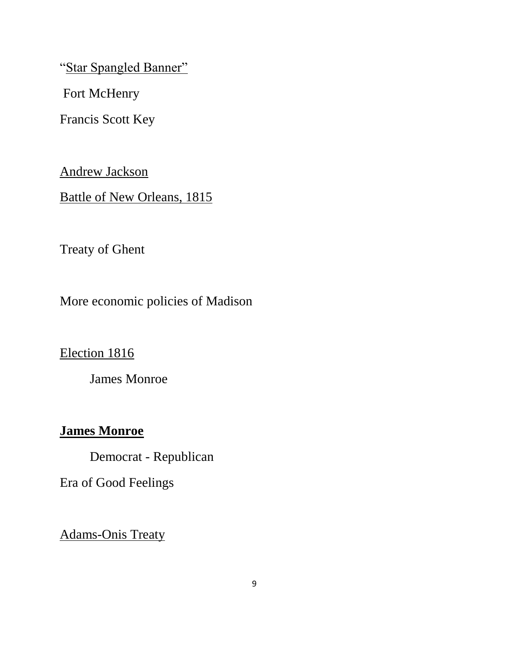"Star Spangled Banner"

Fort McHenry

Francis Scott Key

Andrew Jackson

Battle of New Orleans, 1815

Treaty of Ghent

More economic policies of Madison

Election 1816

James Monroe

#### **James Monroe**

Democrat - Republican

Era of Good Feelings

Adams-Onis Treaty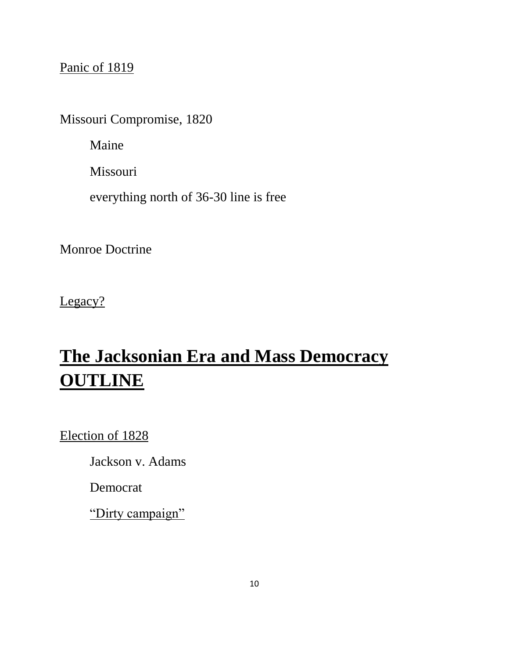# Panic of 1819

Missouri Compromise, 1820

Maine

Missouri

everything north of 36-30 line is free

Monroe Doctrine

Legacy?

# **The Jacksonian Era and Mass Democracy OUTLINE**

Election of 1828

Jackson v. Adams

Democrat

"Dirty campaign"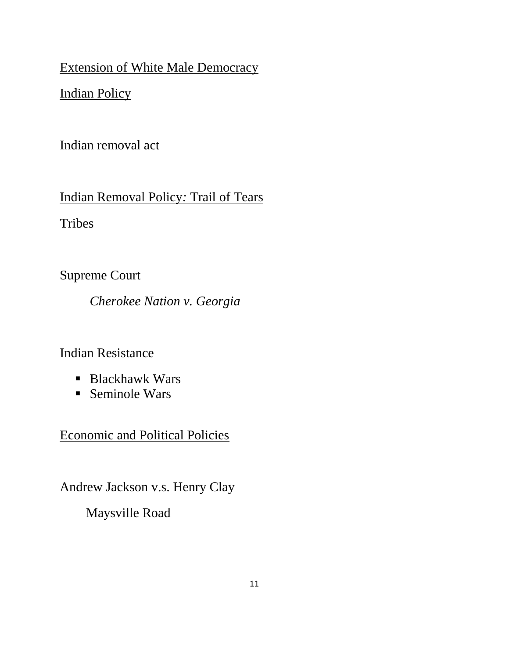Extension of White Male Democracy

Indian Policy

Indian removal act

Indian Removal Policy*:* Trail of Tears

Tribes

Supreme Court

*Cherokee Nation v. Georgia*

Indian Resistance

- Blackhawk Wars
- Seminole Wars

Economic and Political Policies

Andrew Jackson v.s. Henry Clay

Maysville Road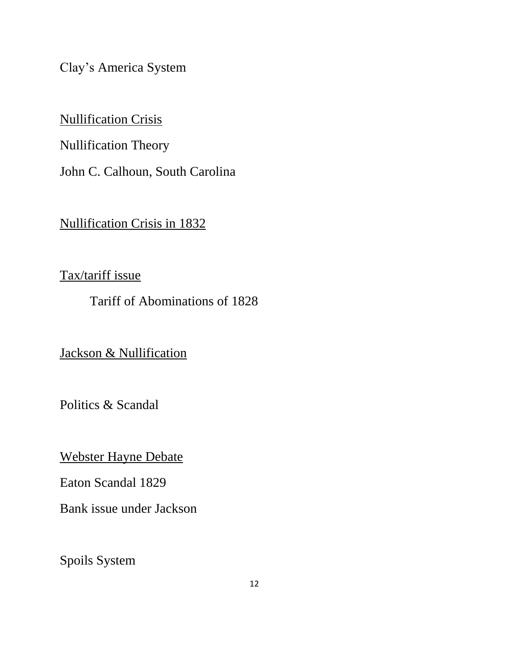Clay's America System

Nullification Crisis

Nullification Theory

John C. Calhoun, South Carolina

Nullification Crisis in 1832

Tax/tariff issue

Tariff of Abominations of 1828

Jackson & Nullification

Politics & Scandal

Webster Hayne Debate

Eaton Scandal 1829

Bank issue under Jackson

Spoils System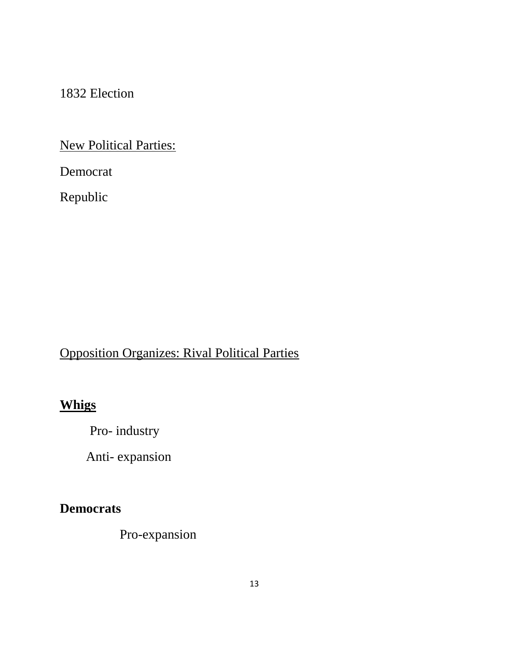1832 Election

New Political Parties:

Democrat

Republic

# Opposition Organizes: Rival Political Parties

# **Whigs**

Pro- industry

Anti- expansion

#### **Democrats**

Pro-expansion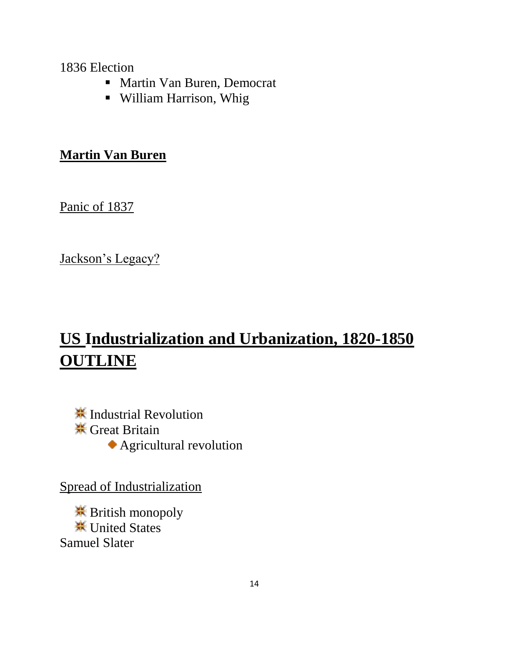#### 1836 Election

- Martin Van Buren, Democrat
- William Harrison, Whig

#### **Martin Van Buren**

Panic of 1837

Jackson's Legacy?

# **US Industrialization and Urbanization, 1820-1850 OUTLINE**

**<del></u>**≢ Industrial Revolution</del> **\*\*** Great Britain Agricultural revolution

Spread of Industrialization

**<del></del>** British monopoly **<del></del>**₩ United States Samuel Slater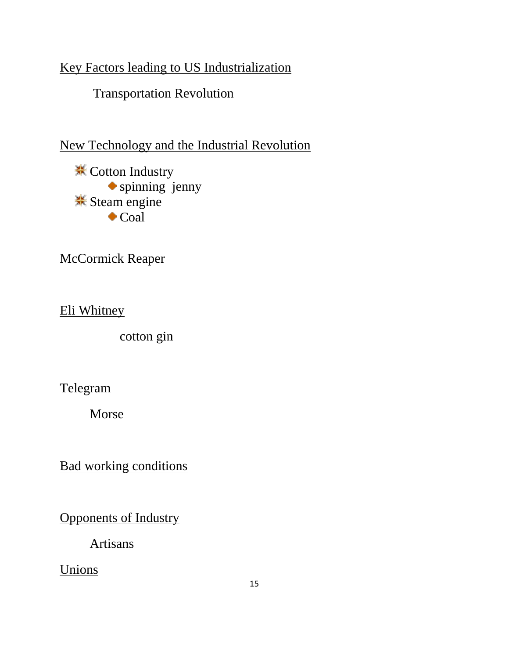# Key Factors leading to US Industrialization

Transportation Revolution

New Technology and the Industrial Revolution

**<del></del>** Cotton Industry spinning jenny **Steam** engine  $\bullet$  Coal

McCormick Reaper

Eli Whitney

cotton gin

Telegram

Morse

Bad working conditions

Opponents of Industry

Artisans

Unions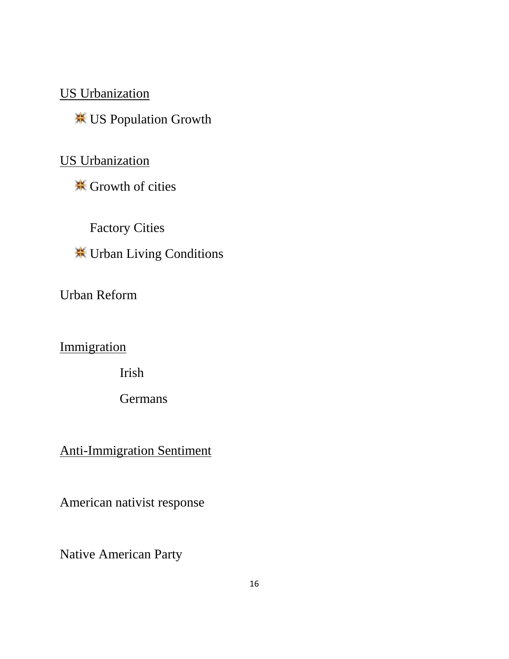US Urbanization

US Population Growth

US Urbanization

**<del></del>** Growth of cities

Factory Cities

Urban Living Conditions

Urban Reform

**Immigration** 

Irish

**Germans** 

Anti-Immigration Sentiment

American nativist response

Native American Party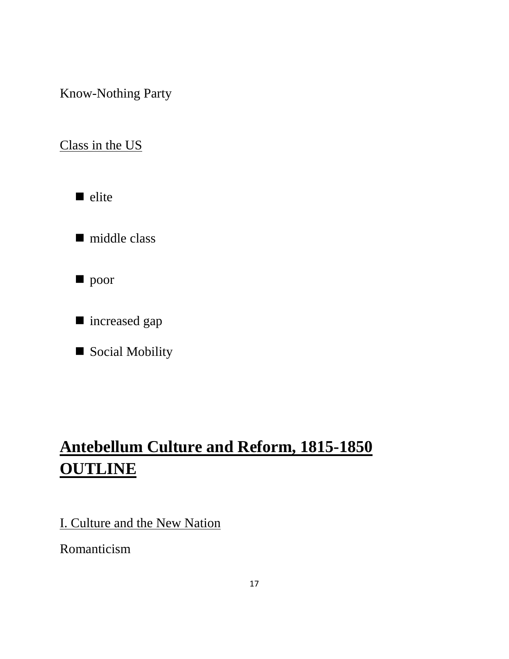Know-Nothing Party

Class in the US

 $\blacksquare$  elite

■ middle class

 $\blacksquare$  poor

■ increased gap

Social Mobility

# **Antebellum Culture and Reform, 1815-1850 OUTLINE**

I. Culture and the New Nation

Romanticism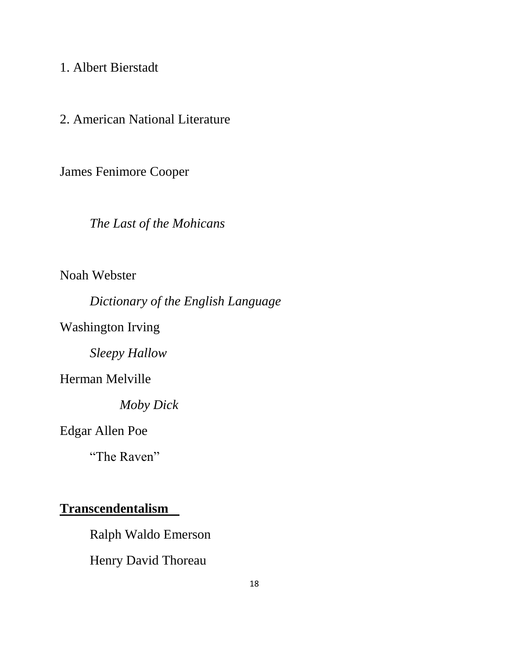1. Albert Bierstadt

2. American National Literature

James Fenimore Cooper

*The Last of the Mohicans*

Noah Webster

*Dictionary of the English Language* 

Washington Irving

*Sleepy Hallow*

Herman Melville

*Moby Dick*

Edgar Allen Poe

"The Raven"

#### **Transcendentalism**

Ralph Waldo Emerson

Henry David Thoreau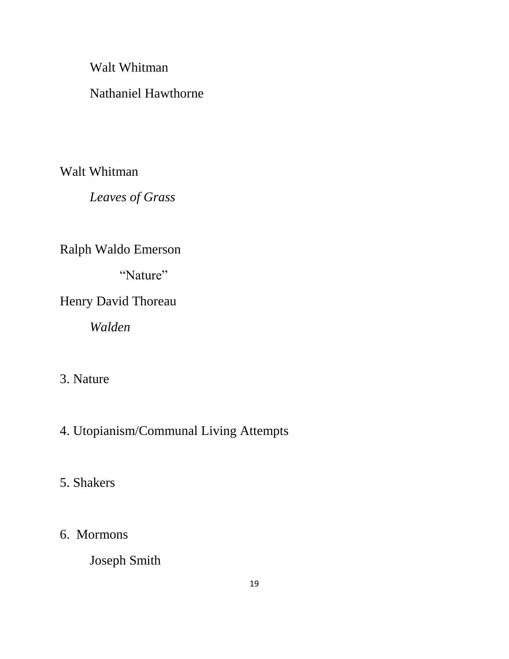Walt Whitman

#### Nathaniel Hawthorne

Walt Whitman

*Leaves of Grass*

Ralph Waldo Emerson

"Nature"

Henry David Thoreau

*Walden*

#### 3. Nature

# 4. Utopianism/Communal Living Attempts

#### 5. Shakers

#### 6. Mormons

Joseph Smith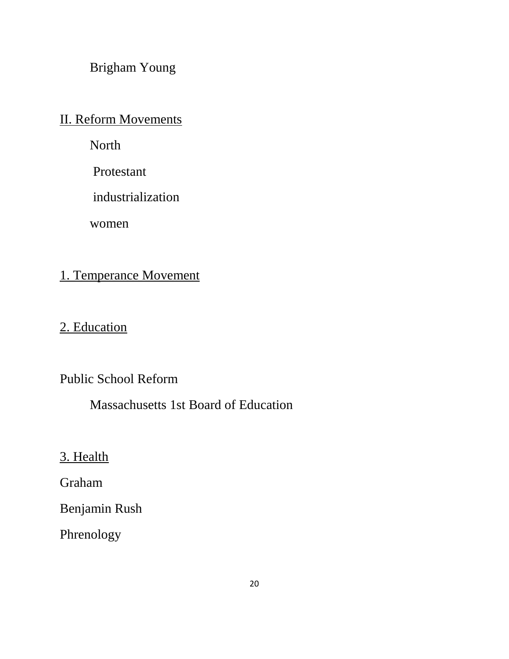Brigham Young

II. Reform Movements

North

Protestant

industrialization

women

#### 1. Temperance Movement

2. Education

Public School Reform

Massachusetts 1st Board of Education

3. Health

Graham

Benjamin Rush

Phrenology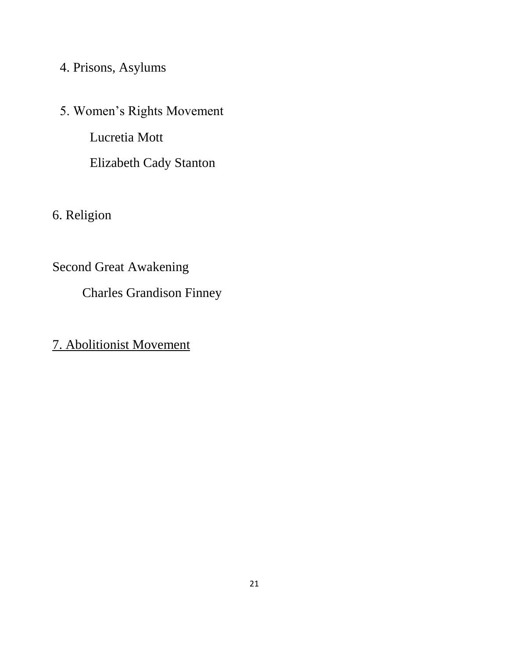# 4. Prisons, Asylums

5. Women's Rights Movement Lucretia Mott Elizabeth Cady Stanton

6. Religion

Second Great Awakening

Charles Grandison Finney

7. Abolitionist Movement